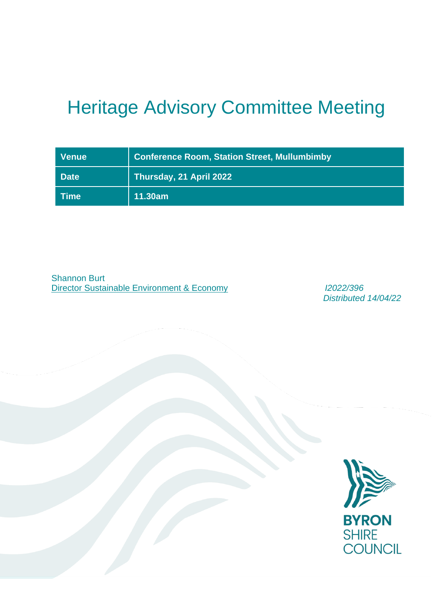# Heritage Advisory Committee Meeting

| <b>Venue</b> | <b>Conference Room, Station Street, Mullumbimby</b> |
|--------------|-----------------------------------------------------|
| <b>Date</b>  | Thursday, 21 April 2022                             |
| <b>Time</b>  | 11.30am                                             |

Shannon Burt Director Sustainable Environment & Economy *I2022/396*

*Distributed 14/04/22*

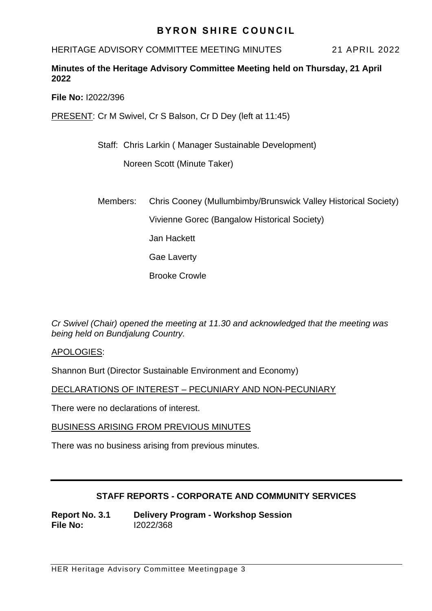## **BYRON SHIRE COUNCIL**

HERITAGE ADVISORY COMMITTEE MEETING MINUTES 21 APRIL 2022

## **Minutes of the Heritage Advisory Committee Meeting held on Thursday, 21 April 2022**

**File No:** I2022/396

PRESENT: Cr M Swivel, Cr S Balson, Cr D Dey (left at 11:45)

Staff: Chris Larkin ( Manager Sustainable Development)

Noreen Scott (Minute Taker)

Members: Chris Cooney (Mullumbimby/Brunswick Valley Historical Society)

Vivienne Gorec (Bangalow Historical Society)

Jan Hackett

Gae Laverty

Brooke Crowle

*Cr Swivel (Chair) opened the meeting at 11.30 and acknowledged that the meeting was being held on Bundjalung Country.*

APOLOGIES:

Shannon Burt (Director Sustainable Environment and Economy)

DECLARATIONS OF INTEREST – PECUNIARY AND NON-PECUNIARY

There were no declarations of interest.

BUSINESS ARISING FROM PREVIOUS MINUTES

There was no business arising from previous minutes.

## **STAFF REPORTS - CORPORATE AND COMMUNITY SERVICES**

**Report No. 3.1 Delivery Program - Workshop Session File No:** I2022/368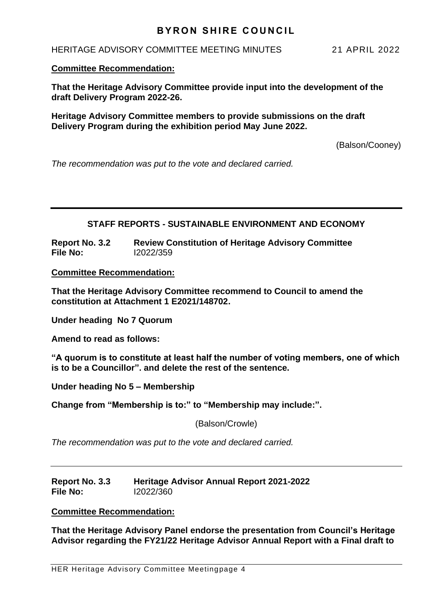## **BYRON SHIRE COUNCIL**

#### HERITAGE ADVISORY COMMITTEE MEETING MINUTES 21 APRIL 2022

#### **Committee Recommendation:**

**That the Heritage Advisory Committee provide input into the development of the draft Delivery Program 2022-26.**

**Heritage Advisory Committee members to provide submissions on the draft Delivery Program during the exhibition period May June 2022.** 

(Balson/Cooney)

*The recommendation was put to the vote and declared carried.*

## **STAFF REPORTS - SUSTAINABLE ENVIRONMENT AND ECONOMY**

**Report No. 3.2 Review Constitution of Heritage Advisory Committee File No:** I2022/359

**Committee Recommendation:** 

**That the Heritage Advisory Committee recommend to Council to amend the constitution at Attachment 1 E2021/148702.**

**Under heading No 7 Quorum** 

**Amend to read as follows:**

**"A quorum is to constitute at least half the number of voting members, one of which is to be a Councillor". and delete the rest of the sentence.**

**Under heading No 5 – Membership**

**Change from "Membership is to:" to "Membership may include:".** 

(Balson/Crowle)

*The recommendation was put to the vote and declared carried.*

| Report No. 3.3 | <b>Heritage Advisor Annual Report 2021-2022</b> |
|----------------|-------------------------------------------------|
| File No:       | 12022/360                                       |

#### **Committee Recommendation:**

**That the Heritage Advisory Panel endorse the presentation from Council's Heritage Advisor regarding the FY21/22 Heritage Advisor Annual Report with a Final draft to**